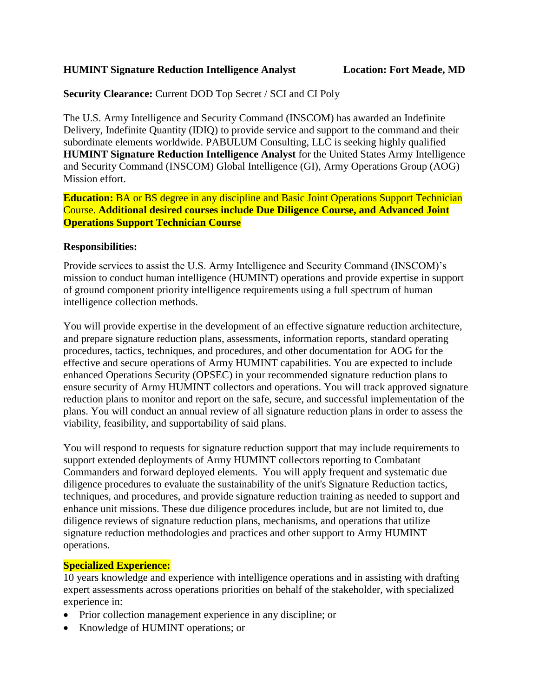#### **HUMINT Signature Reduction Intelligence Analyst Location: Fort Meade, MD**

**Security Clearance:** Current DOD Top Secret / SCI and CI Poly

The U.S. Army Intelligence and Security Command (INSCOM) has awarded an Indefinite Delivery, Indefinite Quantity (IDIQ) to provide service and support to the command and their subordinate elements worldwide. PABULUM Consulting, LLC is seeking highly qualified **HUMINT Signature Reduction Intelligence Analyst** for the United States Army Intelligence and Security Command (INSCOM) Global Intelligence (GI), Army Operations Group (AOG) Mission effort.

**Education:** BA or BS degree in any discipline and Basic Joint Operations Support Technician Course. **Additional desired courses include Due Diligence Course, and Advanced Joint Operations Support Technician Course**

#### **Responsibilities:**

Provide services to assist the U.S. Army Intelligence and Security Command (INSCOM)'s mission to conduct human intelligence (HUMINT) operations and provide expertise in support of ground component priority intelligence requirements using a full spectrum of human intelligence collection methods.

You will provide expertise in the development of an effective signature reduction architecture, and prepare signature reduction plans, assessments, information reports, standard operating procedures, tactics, techniques, and procedures, and other documentation for AOG for the effective and secure operations of Army HUMINT capabilities. You are expected to include enhanced Operations Security (OPSEC) in your recommended signature reduction plans to ensure security of Army HUMINT collectors and operations. You will track approved signature reduction plans to monitor and report on the safe, secure, and successful implementation of the plans. You will conduct an annual review of all signature reduction plans in order to assess the viability, feasibility, and supportability of said plans.

You will respond to requests for signature reduction support that may include requirements to support extended deployments of Army HUMINT collectors reporting to Combatant Commanders and forward deployed elements. You will apply frequent and systematic due diligence procedures to evaluate the sustainability of the unit's Signature Reduction tactics, techniques, and procedures, and provide signature reduction training as needed to support and enhance unit missions. These due diligence procedures include, but are not limited to, due diligence reviews of signature reduction plans, mechanisms, and operations that utilize signature reduction methodologies and practices and other support to Army HUMINT operations.

## **Specialized Experience:**

10 years knowledge and experience with intelligence operations and in assisting with drafting expert assessments across operations priorities on behalf of the stakeholder, with specialized experience in:

- Prior collection management experience in any discipline; or
- Knowledge of HUMINT operations; or